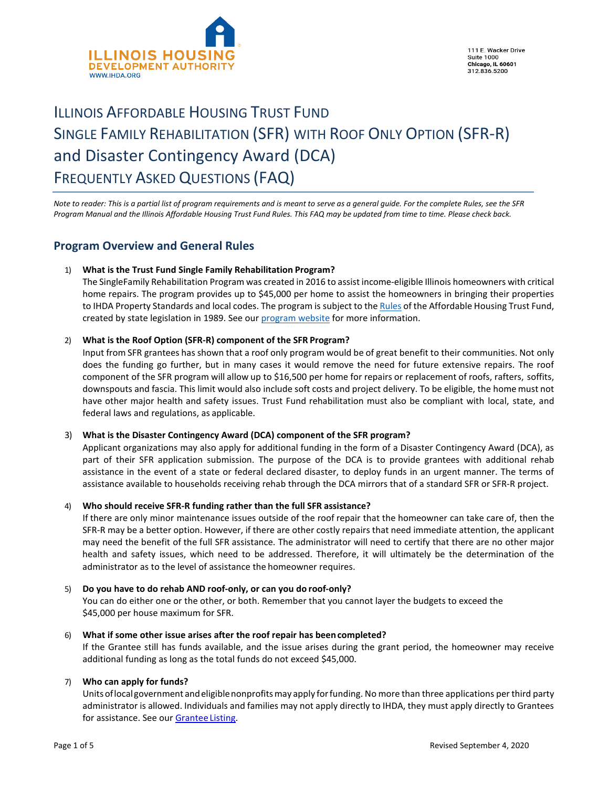

111 E. Wacker Drive **Suite 1000** Chicago, IL 60601<br>312.836.5200

# ILLINOIS AFFORDABLE HOUSING TRUST FUND SINGLE FAMILY REHABILITATION (SFR) WITH ROOF ONLY OPTION (SFR-R) and Disaster Contingency Award (DCA) FREQUENTLY ASKED QUESTIONS (FAQ)

*Note to reader: This is a partial list of program requirements and is meant to serve as a general guide. For the complete Rules, see the SFR Program Manual and the Illinois Affordable Housing Trust Fund Rules. This FAQ may be updated from time to time. Please check back.*

# **Program Overview and General Rules**

# 1) **What is the Trust Fund Single Family Rehabilitation Program?**

The SingleFamily Rehabilitation Program was created in 2016 to assist income-eligible Illinois homeowners with critical home repairs. The program provides up to \$45,000 per home to assist the homeowners in bringing their properties to IHDA Property Standards and local codes. The program is subject to th[e Rules](https://www.ihda.org/wp-content/uploads/2016/08/IL-Affordable-Housing-Trust-Fund-Program-Rules.pdf) of the Affordable Housing Trust Fund, created by state legislation in 1989. See ou[r program website](http://www.ihda.org/my-community/revitalization-programs/) for more information.

# 2) **What is the Roof Option (SFR-R) component of the SFR Program?**

Input from SFR grantees has shown that a roof only program would be of great benefit to their communities. Not only does the funding go further, but in many cases it would remove the need for future extensive repairs. The roof component of the SFR program will allow up to \$16,500 per home for repairs or replacement of roofs, rafters, soffits, downspouts and fascia. This limit would also include soft costs and project delivery. To be eligible, the home must not have other major health and safety issues. Trust Fund rehabilitation must also be compliant with local, state, and federal laws and regulations, as applicable.

# 3) **What is the Disaster Contingency Award (DCA) component of the SFR program?**

Applicant organizations may also apply for additional funding in the form of a Disaster Contingency Award (DCA), as part of their SFR application submission. The purpose of the DCA is to provide grantees with additional rehab assistance in the event of a state or federal declared disaster, to deploy funds in an urgent manner. The terms of assistance available to households receiving rehab through the DCA mirrors that of a standard SFR or SFR-R project.

# 4) **Who should receive SFR-R funding rather than the full SFR assistance?**

If there are only minor maintenance issues outside of the roof repair that the homeowner can take care of, then the SFR-R may be a better option. However, if there are other costly repairs that need immediate attention, the applicant may need the benefit of the full SFR assistance. The administrator will need to certify that there are no other major health and safety issues, which need to be addressed. Therefore, it will ultimately be the determination of the administrator as to the level of assistance the homeowner requires.

# 5) **Do you have to do rehab AND roof-only, or can you do roof-only?**

You can do either one or the other, or both. Remember that you cannot layer the budgets to exceed the \$45,000 per house maximum for SFR.

# 6) **What if some other issue arises after the roof repair has been completed?**

If the Grantee still has funds available, and the issue arises during the grant period, the homeowner may receive additional funding as long as the total funds do not exceed \$45,000.

# 7) **Who can apply for funds?**

Unitsoflocalgovernment andeligiblenonprofitsmay apply forfunding. No more than three applications per third party administrator is allowed. Individuals and families may not apply directly to IHDA, they must apply directly to Grantees for assistance. See our **Grantee Listing**.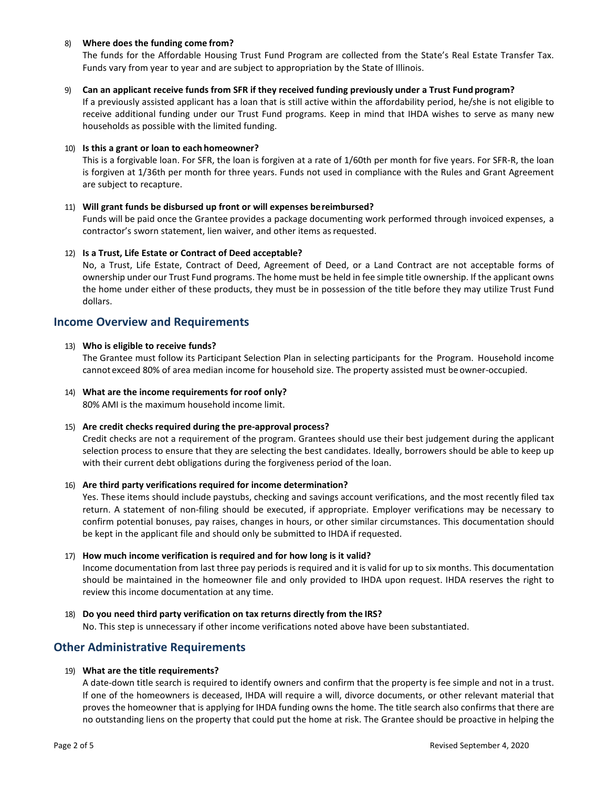## 8) **Where does the funding come from?**

The funds for the Affordable Housing Trust Fund Program are collected from the State's Real Estate Transfer Tax. Funds vary from year to year and are subject to appropriation by the State of Illinois.

#### 9) **Can an applicant receive funds from SFR if they received funding previously under a Trust Fund program?**

If a previously assisted applicant has a loan that is still active within the affordability period, he/she is not eligible to receive additional funding under our Trust Fund programs. Keep in mind that IHDA wishes to serve as many new households as possible with the limited funding.

## 10) **Is this a grant or loan to each homeowner?**

This is a forgivable loan. For SFR, the loan is forgiven at a rate of 1/60th per month for five years. For SFR-R, the loan is forgiven at 1/36th per month for three years. Funds not used in compliance with the Rules and Grant Agreement are subject to recapture.

## 11) **Will grant funds be disbursed up front or will expenses bereimbursed?**

Funds will be paid once the Grantee provides a package documenting work performed through invoiced expenses, a contractor's sworn statement, lien waiver, and other items as requested.

## 12) **Is a Trust, Life Estate or Contract of Deed acceptable?**

No, a Trust, Life Estate, Contract of Deed, Agreement of Deed, or a Land Contract are not acceptable forms of ownership under our Trust Fund programs. The home must be held in fee simple title ownership. If the applicant owns the home under either of these products, they must be in possession of the title before they may utilize Trust Fund dollars.

# **Income Overview and Requirements**

## 13) **Who is eligible to receive funds?**

The Grantee must follow its Participant Selection Plan in selecting participants for the Program. Household income cannot exceed 80% of area median income for household size. The property assisted must beowner-occupied.

14) **What are the income requirements forroof only?** 80% AMI is the maximum household income limit.

# 15) **Are credit checks required during the pre-approval process?**

Credit checks are not a requirement of the program. Grantees should use their best judgement during the applicant selection process to ensure that they are selecting the best candidates. Ideally, borrowers should be able to keep up with their current debt obligations during the forgiveness period of the loan.

#### 16) **Are third party verifications required for income determination?**

Yes. These items should include paystubs, checking and savings account verifications, and the most recently filed tax return. A statement of non-filing should be executed, if appropriate. Employer verifications may be necessary to confirm potential bonuses, pay raises, changes in hours, or other similar circumstances. This documentation should be kept in the applicant file and should only be submitted to IHDA if requested.

# 17) **How much income verification is required and for how long is it valid?**

Income documentation from last three pay periods is required and it is valid for up to six months. This documentation should be maintained in the homeowner file and only provided to IHDA upon request. IHDA reserves the right to review this income documentation at any time.

#### 18) **Do you need third party verification on tax returns directly from the IRS?**

No. This step is unnecessary if other income verifications noted above have been substantiated.

# **Other Administrative Requirements**

# 19) **What are the title requirements?**

A date-down title search is required to identify owners and confirm that the property is fee simple and not in a trust. If one of the homeowners is deceased, IHDA will require a will, divorce documents, or other relevant material that proves the homeowner that is applying for IHDA funding owns the home. The title search also confirms that there are no outstanding liens on the property that could put the home at risk. The Grantee should be proactive in helping the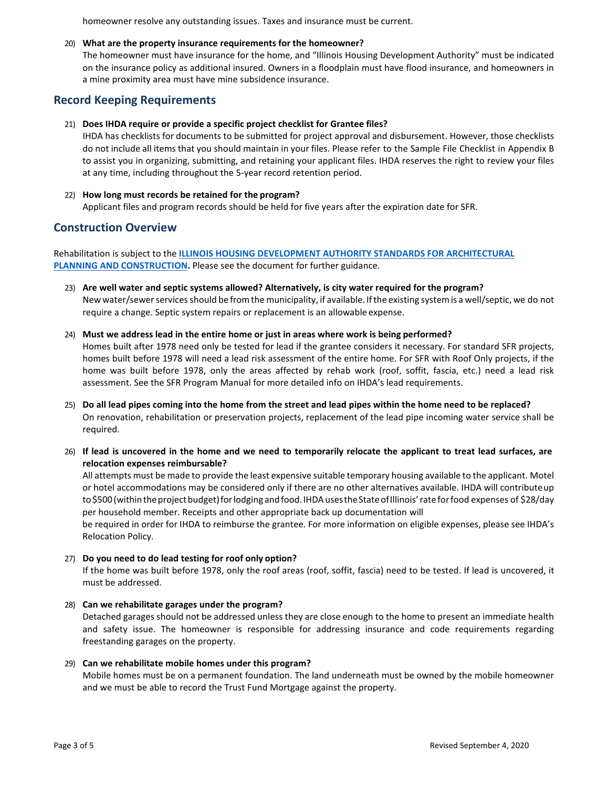homeowner resolve any outstanding issues. Taxes and insurance must be current.

## 20) **What are the property insurance requirements for the homeowner?**

The homeowner must have insurance for the home, and "Illinois Housing Development Authority" must be indicated on the insurance policy as additional insured. Owners in a floodplain must have flood insurance, and homeowners in a mine proximity area must have mine subsidence insurance.

# **Record Keeping Requirements**

## 21) **Does IHDA require or provide a specific project checklist for Grantee files?**

IHDA has checklists for documents to be submitted for project approval and disbursement. However, those checklists do not include all items that you should maintain in your files. Please refer to the Sample File Checklist in Appendix B to assist you in organizing, submitting, and retaining your applicant files. IHDA reserves the right to review your files at any time, including throughout the 5-year record retention period.

22) **How long must records be retained for the program?** Applicant files and program records should be held for five years after the expiration date for SFR.

# **Construction Overview**

Rehabilitation is subject to the **[ILLINOIS HOUSING DEVELOPMENT AUTHORITY STANDARDS FOR ARCHITECTURAL](https://www.ihda.org/wp-content/uploads/2015/07/IHDA-Standards-for-Architectural-Planning-and-Construction-2019-FINAL.pdf) PLANNING AND CONSTRUCTION.** Please see the document for further guidance.

- 23) **Are well water and septic systems allowed? Alternatively, is city water required for the program?** New water/sewer services should be from the municipality, if available. If the existing system is a well/septic, we do not require a change. Septic system repairs or replacement is an allowable expense.
- 24) **Must we address lead in the entire home or just in areas where work is being performed?**

Homes built after 1978 need only be tested for lead if the grantee considers it necessary. For standard SFR projects, homes built before 1978 will need a lead risk assessment of the entire home. For SFR with Roof Only projects, if the home was built before 1978, only the areas affected by rehab work (roof, soffit, fascia, etc.) need a lead risk assessment. See the SFR Program Manual for more detailed info on IHDA's lead requirements.

- 25) **Do all lead pipes coming into the home from the street and lead pipes within the home need to be replaced?** On renovation, rehabilitation or preservation projects, replacement of the lead pipe incoming water service shall be required.
- 26) **If lead is uncovered in the home and we need to temporarily relocate the applicant to treat lead surfaces, are relocation expenses reimbursable?**

All attempts must be made to provide the least expensive suitable temporary housing available to the applicant. Motel or hotel accommodations may be considered only if there are no other alternatives available. IHDA will contributeup to \$500 (within the project budget) for lodging and food. IHDA uses the State of Illinois' rate for food expenses of \$28/day per household member. Receipts and other appropriate back up documentation will

be required in order for IHDA to reimburse the grantee. For more information on eligible expenses, please see IHDA's Relocation Policy.

27) **Do you need to do lead testing for roof only option?**

If the home was built before 1978, only the roof areas (roof, soffit, fascia) need to be tested. If lead is uncovered, it must be addressed.

#### 28) **Can we rehabilitate garages under the program?**

Detached garages should not be addressed unless they are close enough to the home to present an immediate health and safety issue. The homeowner is responsible for addressing insurance and code requirements regarding freestanding garages on the property.

#### 29) **Can we rehabilitate mobile homes under this program?**

Mobile homes must be on a permanent foundation. The land underneath must be owned by the mobile homeowner and we must be able to record the Trust Fund Mortgage against the property.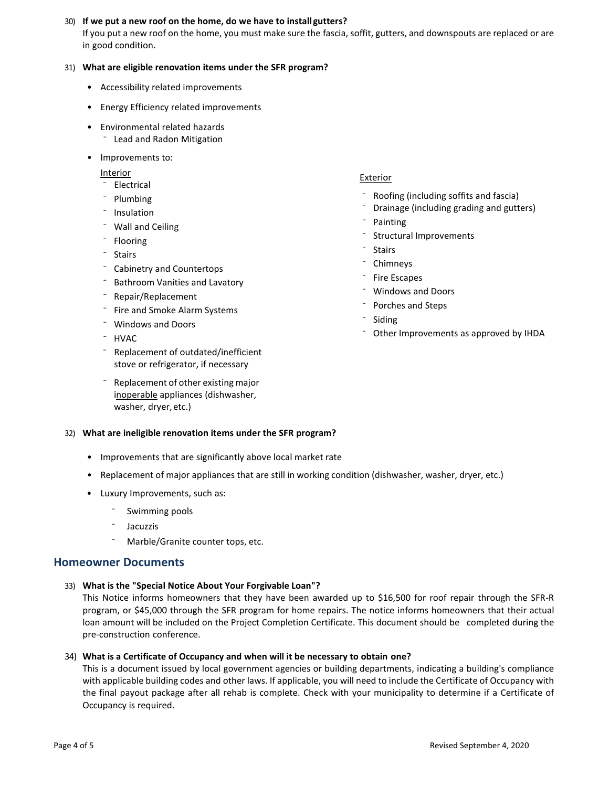# 30) **If we put a new roof on the home, do we have to install gutters?**

If you put a new roof on the home, you must make sure the fascia, soffit, gutters, and downspouts are replaced or are in good condition.

# 31) **What are eligible renovation items under the SFR program?**

- Accessibility related improvements
- Energy Efficiency related improvements
- Environmental related hazards
	- ⁻ Lead and Radon Mitigation
- Improvements to:

Interior

- ⁻ Electrical
- Plumbing
- ⁻ Insulation
- ⁻ Wall and Ceiling
- Flooring
- ⁻ Stairs
- ⁻ Cabinetry and Countertops
- ⁻ Bathroom Vanities and Lavatory
- ⁻ Repair/Replacement
- ⁻ Fire and Smoke Alarm Systems
- ⁻ Windows and Doors
- ⁻ HVAC
- ⁻ Replacement of outdated/inefficient stove or refrigerator, if necessary
- ⁻ Replacement of other existing major inoperable appliances (dishwasher, washer, dryer,etc.)

# Exterior

- ⁻ Roofing (including soffits and fascia)
- ⁻ Drainage (including grading and gutters)
- Structural Improvements
- **Stairs**
- **Chimneys**
- ⁻ Fire Escapes
- ⁻ Windows and Doors
- ⁻ Porches and Steps
- **Siding**
- Other Improvements as approved by IHDA

# 32) **What are ineligible renovation items under the SFR program?**

- Improvements that are significantly above local market rate
- Replacement of major appliances that are still in working condition (dishwasher, washer, dryer, etc.)
- Luxury Improvements, such as:
	- Swimming pools
	- **Jacuzzis**
	- Marble/Granite counter tops, etc.

# **Homeowner Documents**

33) **What is the "Special Notice About Your Forgivable Loan"?**

This Notice informs homeowners that they have been awarded up to \$16,500 for roof repair through the SFR-R program, or \$45,000 through the SFR program for home repairs. The notice informs homeowners that their actual loan amount will be included on the Project Completion Certificate. This document should be completed during the pre-construction conference.

# 34) **What is a Certificate of Occupancy and when will it be necessary to obtain one?**

This is a document issued by local government agencies or building departments, indicating a building's compliance with applicable building codes and other laws. If applicable, you will need to include the Certificate of Occupancy with the final payout package after all rehab is complete. Check with your municipality to determine if a Certificate of Occupancy is required.

- **Painting** 
	-
- 
- 
- 
-